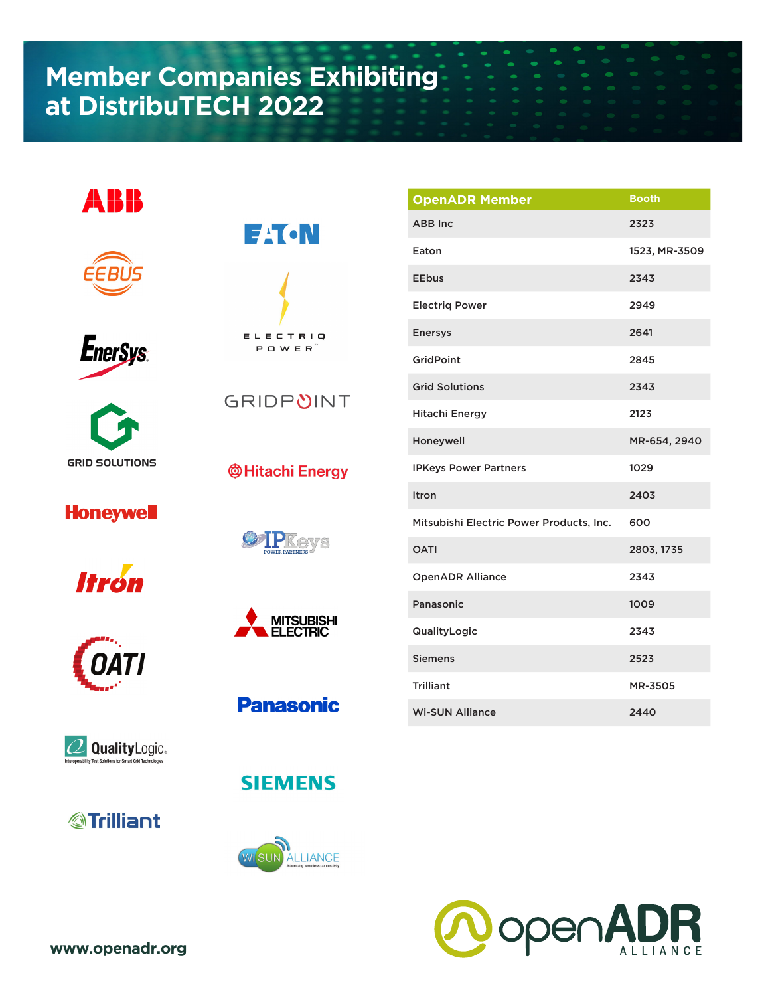## **Member Companies Exhibiting at DistribuTECH 2022**













## **Honeywell**

**Itrón** 



**GRIDPUINT** 





**Panasonic** 











| <b>OpenADR Member</b>                    | <b>Booth</b>  |
|------------------------------------------|---------------|
| <b>ABB</b> Inc.                          | 2323          |
| Eaton                                    | 1523, MR-3509 |
| <b>EEbus</b>                             | 2343          |
| <b>Electrig Power</b>                    | 2949          |
| <b>Enersys</b>                           | 2641          |
| GridPoint                                | 2845          |
| <b>Grid Solutions</b>                    | 2343          |
| <b>Hitachi Energy</b>                    | 2123          |
| Honeywell                                | MR-654, 2940  |
| <b>IPKeys Power Partners</b>             | 1029          |
| Itron                                    | 2403          |
| Mitsubishi Electric Power Products, Inc. | 600           |
| <b>OATI</b>                              | 2803, 1735    |
| <b>OpenADR Alliance</b>                  | 2343          |
| Panasonic                                | 1009          |
| QualityLogic                             | 2343          |
| <b>Siemens</b>                           | 2523          |
| <b>Trilliant</b>                         | MR-3505       |
| <b>Wi-SUN Alliance</b>                   | 2440          |



**www.openadr.org**